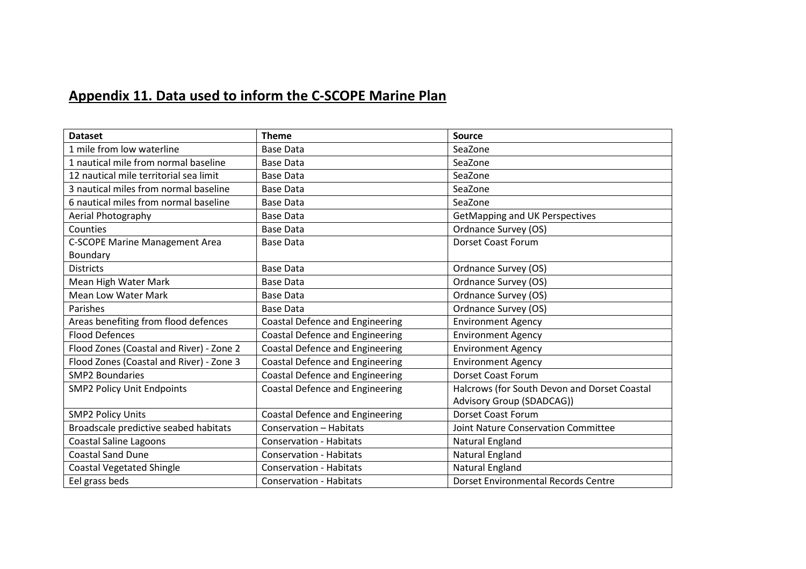## Appendix 11. Data used to inform the C-SCOPE Marine Plan

| <b>Dataset</b>                           | <b>Theme</b>                           | Source                                       |
|------------------------------------------|----------------------------------------|----------------------------------------------|
| 1 mile from low waterline                | <b>Base Data</b>                       | SeaZone                                      |
| 1 nautical mile from normal baseline     | <b>Base Data</b>                       | SeaZone                                      |
| 12 nautical mile territorial sea limit   | <b>Base Data</b>                       | SeaZone                                      |
| 3 nautical miles from normal baseline    | <b>Base Data</b>                       | SeaZone                                      |
| 6 nautical miles from normal baseline    | <b>Base Data</b>                       | SeaZone                                      |
| Aerial Photography                       | <b>Base Data</b>                       | GetMapping and UK Perspectives               |
| Counties                                 | <b>Base Data</b>                       | Ordnance Survey (OS)                         |
| <b>C-SCOPE Marine Management Area</b>    | <b>Base Data</b>                       | <b>Dorset Coast Forum</b>                    |
| Boundary                                 |                                        |                                              |
| <b>Districts</b>                         | <b>Base Data</b>                       | Ordnance Survey (OS)                         |
| Mean High Water Mark                     | <b>Base Data</b>                       | Ordnance Survey (OS)                         |
| <b>Mean Low Water Mark</b>               | <b>Base Data</b>                       | Ordnance Survey (OS)                         |
| Parishes                                 | <b>Base Data</b>                       | Ordnance Survey (OS)                         |
| Areas benefiting from flood defences     | <b>Coastal Defence and Engineering</b> | <b>Environment Agency</b>                    |
| <b>Flood Defences</b>                    | <b>Coastal Defence and Engineering</b> | <b>Environment Agency</b>                    |
| Flood Zones (Coastal and River) - Zone 2 | <b>Coastal Defence and Engineering</b> | <b>Environment Agency</b>                    |
| Flood Zones (Coastal and River) - Zone 3 | <b>Coastal Defence and Engineering</b> | <b>Environment Agency</b>                    |
| <b>SMP2 Boundaries</b>                   | <b>Coastal Defence and Engineering</b> | <b>Dorset Coast Forum</b>                    |
| <b>SMP2 Policy Unit Endpoints</b>        | <b>Coastal Defence and Engineering</b> | Halcrows (for South Devon and Dorset Coastal |
|                                          |                                        | Advisory Group (SDADCAG))                    |
| <b>SMP2 Policy Units</b>                 | <b>Coastal Defence and Engineering</b> | <b>Dorset Coast Forum</b>                    |
| Broadscale predictive seabed habitats    | Conservation - Habitats                | Joint Nature Conservation Committee          |
| <b>Coastal Saline Lagoons</b>            | <b>Conservation - Habitats</b>         | Natural England                              |
| <b>Coastal Sand Dune</b>                 | <b>Conservation - Habitats</b>         | Natural England                              |
| <b>Coastal Vegetated Shingle</b>         | <b>Conservation - Habitats</b>         | Natural England                              |
| Eel grass beds                           | <b>Conservation - Habitats</b>         | Dorset Environmental Records Centre          |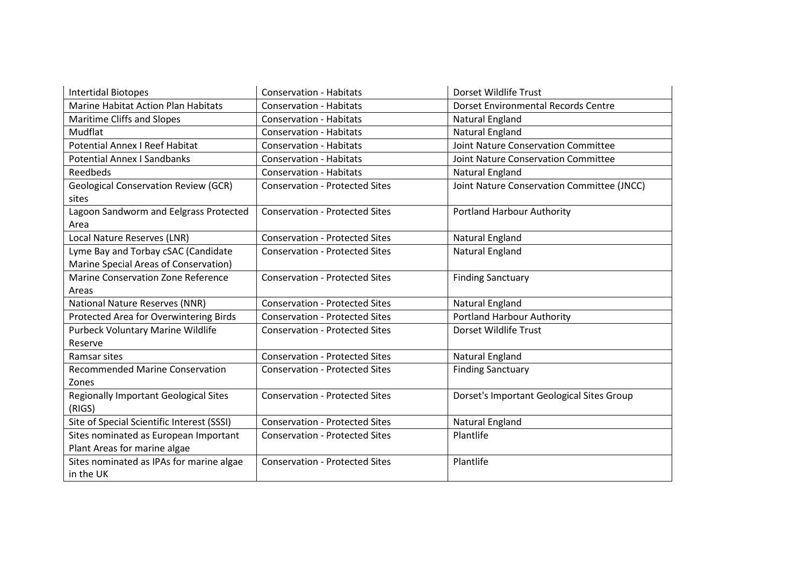| <b>Intertidal Biotopes</b>                   | <b>Conservation - Habitats</b>        | Dorset Wildlife Trust                      |
|----------------------------------------------|---------------------------------------|--------------------------------------------|
| Marine Habitat Action Plan Habitats          | <b>Conservation - Habitats</b>        | Dorset Environmental Records Centre        |
| Maritime Cliffs and Slopes                   | <b>Conservation - Habitats</b>        | Natural England                            |
| Mudflat                                      | <b>Conservation - Habitats</b>        | <b>Natural England</b>                     |
| <b>Potential Annex I Reef Habitat</b>        | <b>Conservation - Habitats</b>        | <b>Joint Nature Conservation Committee</b> |
| <b>Potential Annex I Sandbanks</b>           | <b>Conservation - Habitats</b>        | Joint Nature Conservation Committee        |
| <b>Reedbeds</b>                              | <b>Conservation - Habitats</b>        | Natural England                            |
| <b>Geological Conservation Review (GCR)</b>  | <b>Conservation - Protected Sites</b> | Joint Nature Conservation Committee (JNCC) |
| sites                                        |                                       |                                            |
| Lagoon Sandworm and Eelgrass Protected       | <b>Conservation - Protected Sites</b> | <b>Portland Harbour Authority</b>          |
| Area                                         |                                       |                                            |
| Local Nature Reserves (LNR)                  | <b>Conservation - Protected Sites</b> | Natural England                            |
| Lyme Bay and Torbay cSAC (Candidate          | <b>Conservation - Protected Sites</b> | Natural England                            |
| Marine Special Areas of Conservation)        |                                       |                                            |
| Marine Conservation Zone Reference           | <b>Conservation - Protected Sites</b> | <b>Finding Sanctuary</b>                   |
| Areas                                        |                                       |                                            |
| National Nature Reserves (NNR)               | <b>Conservation - Protected Sites</b> | Natural England                            |
| Protected Area for Overwintering Birds       | <b>Conservation - Protected Sites</b> | <b>Portland Harbour Authority</b>          |
| <b>Purbeck Voluntary Marine Wildlife</b>     | <b>Conservation - Protected Sites</b> | Dorset Wildlife Trust                      |
| Reserve                                      |                                       |                                            |
| Ramsar sites                                 | <b>Conservation - Protected Sites</b> | <b>Natural England</b>                     |
| <b>Recommended Marine Conservation</b>       | <b>Conservation - Protected Sites</b> | <b>Finding Sanctuary</b>                   |
| Zones                                        |                                       |                                            |
| <b>Regionally Important Geological Sites</b> | <b>Conservation - Protected Sites</b> | Dorset's Important Geological Sites Group  |
| (RIGS)                                       |                                       |                                            |
| Site of Special Scientific Interest (SSSI)   | <b>Conservation - Protected Sites</b> | <b>Natural England</b>                     |
| Sites nominated as European Important        | <b>Conservation - Protected Sites</b> | Plantlife                                  |
| Plant Areas for marine algae                 |                                       |                                            |
| Sites nominated as IPAs for marine algae     | <b>Conservation - Protected Sites</b> | Plantlife                                  |
| in the UK                                    |                                       |                                            |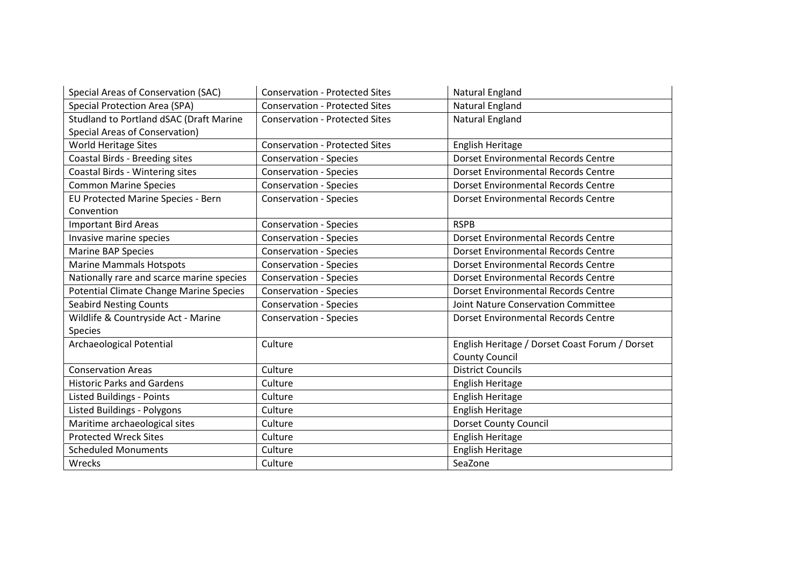| Special Areas of Conservation (SAC)       | <b>Conservation - Protected Sites</b> | Natural England                                |
|-------------------------------------------|---------------------------------------|------------------------------------------------|
| <b>Special Protection Area (SPA)</b>      | <b>Conservation - Protected Sites</b> | Natural England                                |
| Studland to Portland dSAC (Draft Marine   | <b>Conservation - Protected Sites</b> | Natural England                                |
| Special Areas of Conservation)            |                                       |                                                |
| World Heritage Sites                      | <b>Conservation - Protected Sites</b> | English Heritage                               |
| Coastal Birds - Breeding sites            | <b>Conservation - Species</b>         | <b>Dorset Environmental Records Centre</b>     |
| Coastal Birds - Wintering sites           | <b>Conservation - Species</b>         | Dorset Environmental Records Centre            |
| <b>Common Marine Species</b>              | <b>Conservation - Species</b>         | <b>Dorset Environmental Records Centre</b>     |
| EU Protected Marine Species - Bern        | <b>Conservation - Species</b>         | <b>Dorset Environmental Records Centre</b>     |
| Convention                                |                                       |                                                |
| <b>Important Bird Areas</b>               | <b>Conservation - Species</b>         | <b>RSPB</b>                                    |
| Invasive marine species                   | <b>Conservation - Species</b>         | Dorset Environmental Records Centre            |
| <b>Marine BAP Species</b>                 | <b>Conservation - Species</b>         | <b>Dorset Environmental Records Centre</b>     |
| <b>Marine Mammals Hotspots</b>            | <b>Conservation - Species</b>         | Dorset Environmental Records Centre            |
| Nationally rare and scarce marine species | <b>Conservation - Species</b>         | Dorset Environmental Records Centre            |
| Potential Climate Change Marine Species   | <b>Conservation - Species</b>         | <b>Dorset Environmental Records Centre</b>     |
| <b>Seabird Nesting Counts</b>             | <b>Conservation - Species</b>         | <b>Joint Nature Conservation Committee</b>     |
| Wildlife & Countryside Act - Marine       | <b>Conservation - Species</b>         | Dorset Environmental Records Centre            |
| <b>Species</b>                            |                                       |                                                |
| Archaeological Potential                  | Culture                               | English Heritage / Dorset Coast Forum / Dorset |
|                                           |                                       | <b>County Council</b>                          |
| <b>Conservation Areas</b>                 | Culture                               | <b>District Councils</b>                       |
| <b>Historic Parks and Gardens</b>         | Culture                               | English Heritage                               |
| <b>Listed Buildings - Points</b>          | Culture                               | English Heritage                               |
| Listed Buildings - Polygons               | Culture                               | English Heritage                               |
| Maritime archaeological sites             | Culture                               | <b>Dorset County Council</b>                   |
| <b>Protected Wreck Sites</b>              | Culture                               | English Heritage                               |
| <b>Scheduled Monuments</b>                | Culture                               | English Heritage                               |
| Wrecks                                    | Culture                               | SeaZone                                        |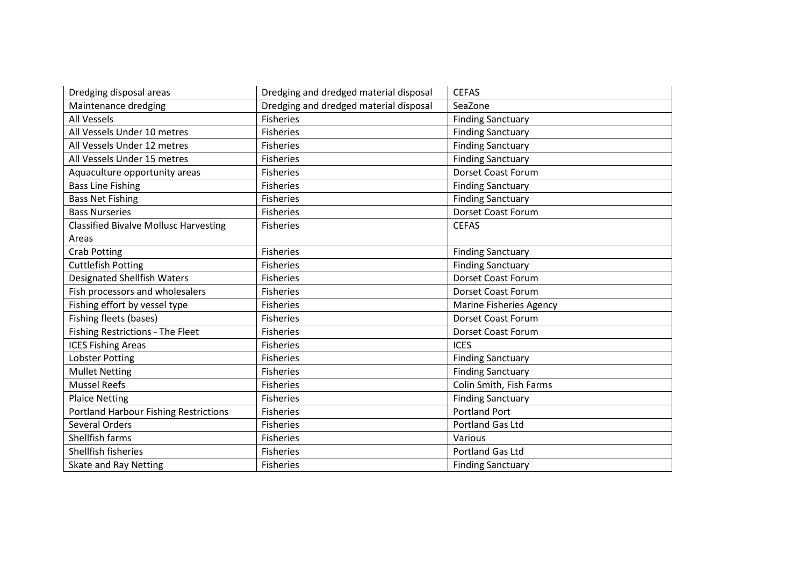| Dredging disposal areas                      | Dredging and dredged material disposal | <b>CEFAS</b>                   |
|----------------------------------------------|----------------------------------------|--------------------------------|
| Maintenance dredging                         | Dredging and dredged material disposal | SeaZone                        |
| All Vessels                                  | <b>Fisheries</b>                       | <b>Finding Sanctuary</b>       |
| All Vessels Under 10 metres                  | <b>Fisheries</b>                       | <b>Finding Sanctuary</b>       |
| All Vessels Under 12 metres                  | <b>Fisheries</b>                       | <b>Finding Sanctuary</b>       |
| All Vessels Under 15 metres                  | <b>Fisheries</b>                       | <b>Finding Sanctuary</b>       |
| Aquaculture opportunity areas                | <b>Fisheries</b>                       | <b>Dorset Coast Forum</b>      |
| <b>Bass Line Fishing</b>                     | <b>Fisheries</b>                       | <b>Finding Sanctuary</b>       |
| <b>Bass Net Fishing</b>                      | <b>Fisheries</b>                       | <b>Finding Sanctuary</b>       |
| <b>Bass Nurseries</b>                        | <b>Fisheries</b>                       | Dorset Coast Forum             |
| <b>Classified Bivalve Mollusc Harvesting</b> | <b>Fisheries</b>                       | <b>CEFAS</b>                   |
| Areas                                        |                                        |                                |
| <b>Crab Potting</b>                          | <b>Fisheries</b>                       | <b>Finding Sanctuary</b>       |
| <b>Cuttlefish Potting</b>                    | <b>Fisheries</b>                       | <b>Finding Sanctuary</b>       |
| <b>Designated Shellfish Waters</b>           | <b>Fisheries</b>                       | Dorset Coast Forum             |
| Fish processors and wholesalers              | <b>Fisheries</b>                       | <b>Dorset Coast Forum</b>      |
| Fishing effort by vessel type                | <b>Fisheries</b>                       | <b>Marine Fisheries Agency</b> |
| Fishing fleets (bases)                       | <b>Fisheries</b>                       | <b>Dorset Coast Forum</b>      |
| Fishing Restrictions - The Fleet             | <b>Fisheries</b>                       | Dorset Coast Forum             |
| <b>ICES Fishing Areas</b>                    | <b>Fisheries</b>                       | <b>ICES</b>                    |
| <b>Lobster Potting</b>                       | <b>Fisheries</b>                       | <b>Finding Sanctuary</b>       |
| <b>Mullet Netting</b>                        | <b>Fisheries</b>                       | <b>Finding Sanctuary</b>       |
| <b>Mussel Reefs</b>                          | <b>Fisheries</b>                       | Colin Smith, Fish Farms        |
| <b>Plaice Netting</b>                        | <b>Fisheries</b>                       | <b>Finding Sanctuary</b>       |
| <b>Portland Harbour Fishing Restrictions</b> | <b>Fisheries</b>                       | <b>Portland Port</b>           |
| <b>Several Orders</b>                        | <b>Fisheries</b>                       | Portland Gas Ltd               |
| Shellfish farms                              | <b>Fisheries</b>                       | Various                        |
| Shellfish fisheries                          | Fisheries                              | Portland Gas Ltd               |
| Skate and Ray Netting                        | <b>Fisheries</b>                       | <b>Finding Sanctuary</b>       |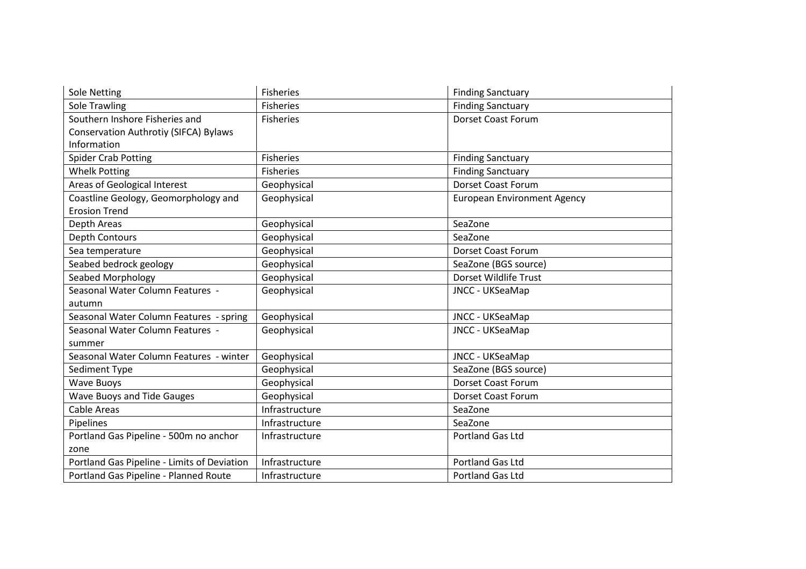| Sole Netting                                | <b>Fisheries</b> | <b>Finding Sanctuary</b>           |
|---------------------------------------------|------------------|------------------------------------|
| Sole Trawling                               | <b>Fisheries</b> | <b>Finding Sanctuary</b>           |
| Southern Inshore Fisheries and              | <b>Fisheries</b> | <b>Dorset Coast Forum</b>          |
| Conservation Authrotiy (SIFCA) Bylaws       |                  |                                    |
| Information                                 |                  |                                    |
| <b>Spider Crab Potting</b>                  | Fisheries        | <b>Finding Sanctuary</b>           |
| <b>Whelk Potting</b>                        | Fisheries        | <b>Finding Sanctuary</b>           |
| Areas of Geological Interest                | Geophysical      | <b>Dorset Coast Forum</b>          |
| Coastline Geology, Geomorphology and        | Geophysical      | <b>European Environment Agency</b> |
| <b>Erosion Trend</b>                        |                  |                                    |
| Depth Areas                                 | Geophysical      | SeaZone                            |
| Depth Contours                              | Geophysical      | SeaZone                            |
| Sea temperature                             | Geophysical      | <b>Dorset Coast Forum</b>          |
| Seabed bedrock geology                      | Geophysical      | SeaZone (BGS source)               |
| Seabed Morphology                           | Geophysical      | Dorset Wildlife Trust              |
| Seasonal Water Column Features -            | Geophysical      | JNCC - UKSeaMap                    |
| autumn                                      |                  |                                    |
| Seasonal Water Column Features - spring     | Geophysical      | JNCC - UKSeaMap                    |
| Seasonal Water Column Features -            | Geophysical      | JNCC - UKSeaMap                    |
| summer                                      |                  |                                    |
| Seasonal Water Column Features - winter     | Geophysical      | JNCC - UKSeaMap                    |
| Sediment Type                               | Geophysical      | SeaZone (BGS source)               |
| <b>Wave Buoys</b>                           | Geophysical      | <b>Dorset Coast Forum</b>          |
| <b>Wave Buoys and Tide Gauges</b>           | Geophysical      | <b>Dorset Coast Forum</b>          |
| Cable Areas                                 | Infrastructure   | SeaZone                            |
| Pipelines                                   | Infrastructure   | SeaZone                            |
| Portland Gas Pipeline - 500m no anchor      | Infrastructure   | Portland Gas Ltd                   |
| zone                                        |                  |                                    |
| Portland Gas Pipeline - Limits of Deviation | Infrastructure   | Portland Gas Ltd                   |
| Portland Gas Pipeline - Planned Route       | Infrastructure   | Portland Gas Ltd                   |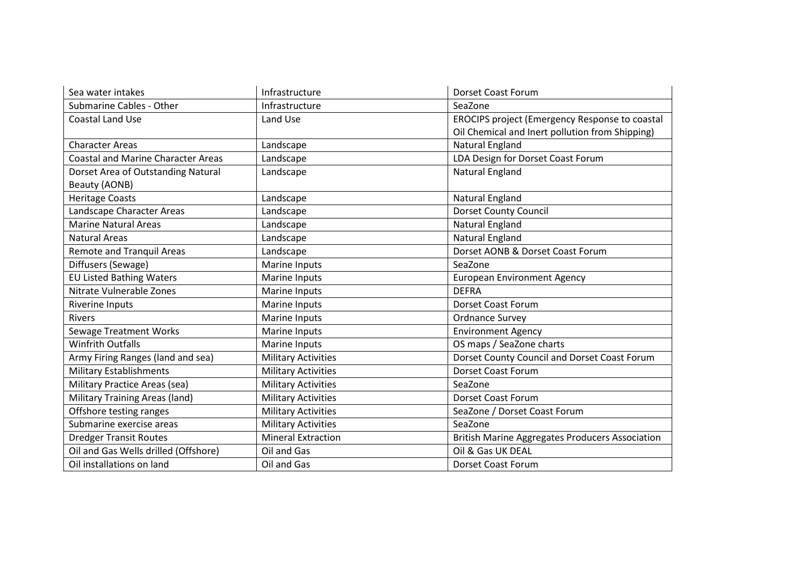| Sea water intakes                         | Infrastructure             | <b>Dorset Coast Forum</b>                              |
|-------------------------------------------|----------------------------|--------------------------------------------------------|
| Submarine Cables - Other                  | Infrastructure             | SeaZone                                                |
| <b>Coastal Land Use</b>                   | Land Use                   | EROCIPS project (Emergency Response to coastal         |
|                                           |                            | Oil Chemical and Inert pollution from Shipping)        |
| <b>Character Areas</b>                    | Landscape                  | Natural England                                        |
| <b>Coastal and Marine Character Areas</b> | Landscape                  | LDA Design for Dorset Coast Forum                      |
| Dorset Area of Outstanding Natural        | Landscape                  | Natural England                                        |
| Beauty (AONB)                             |                            |                                                        |
| <b>Heritage Coasts</b>                    | Landscape                  | Natural England                                        |
| Landscape Character Areas                 | Landscape                  | <b>Dorset County Council</b>                           |
| <b>Marine Natural Areas</b>               | Landscape                  | Natural England                                        |
| <b>Natural Areas</b>                      | Landscape                  | Natural England                                        |
| <b>Remote and Tranquil Areas</b>          | Landscape                  | Dorset AONB & Dorset Coast Forum                       |
| Diffusers (Sewage)                        | Marine Inputs              | SeaZone                                                |
| <b>EU Listed Bathing Waters</b>           | Marine Inputs              | <b>European Environment Agency</b>                     |
| Nitrate Vulnerable Zones                  | Marine Inputs              | <b>DEFRA</b>                                           |
| <b>Riverine Inputs</b>                    | Marine Inputs              | <b>Dorset Coast Forum</b>                              |
| <b>Rivers</b>                             | Marine Inputs              | <b>Ordnance Survey</b>                                 |
| <b>Sewage Treatment Works</b>             | Marine Inputs              | <b>Environment Agency</b>                              |
| <b>Winfrith Outfalls</b>                  | Marine Inputs              | OS maps / SeaZone charts                               |
| Army Firing Ranges (land and sea)         | <b>Military Activities</b> | Dorset County Council and Dorset Coast Forum           |
| <b>Military Establishments</b>            | <b>Military Activities</b> | <b>Dorset Coast Forum</b>                              |
| Military Practice Areas (sea)             | <b>Military Activities</b> | SeaZone                                                |
| <b>Military Training Areas (land)</b>     | <b>Military Activities</b> | <b>Dorset Coast Forum</b>                              |
| Offshore testing ranges                   | <b>Military Activities</b> | SeaZone / Dorset Coast Forum                           |
| Submarine exercise areas                  | <b>Military Activities</b> | SeaZone                                                |
| <b>Dredger Transit Routes</b>             | <b>Mineral Extraction</b>  | <b>British Marine Aggregates Producers Association</b> |
| Oil and Gas Wells drilled (Offshore)      | Oil and Gas                | Oil & Gas UK DEAL                                      |
| Oil installations on land                 | Oil and Gas                | <b>Dorset Coast Forum</b>                              |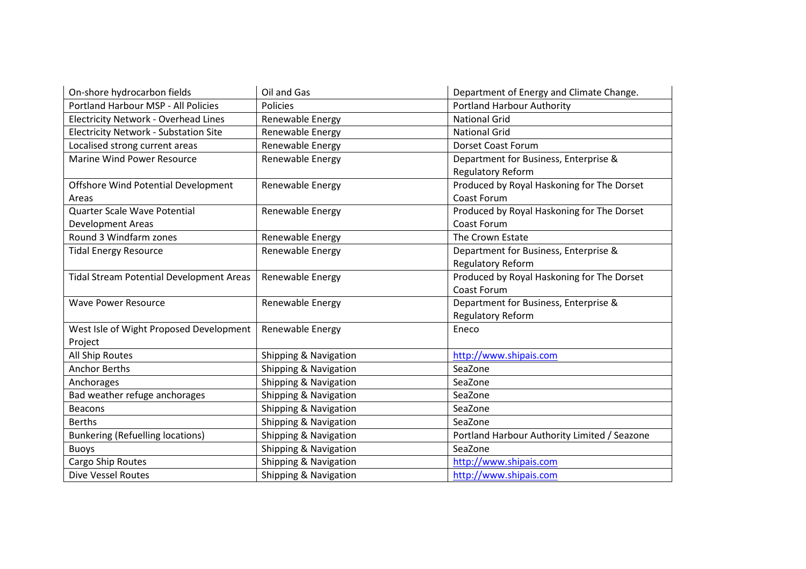| On-shore hydrocarbon fields                     | Oil and Gas           | Department of Energy and Climate Change.     |
|-------------------------------------------------|-----------------------|----------------------------------------------|
| Portland Harbour MSP - All Policies             | Policies              | <b>Portland Harbour Authority</b>            |
| <b>Electricity Network - Overhead Lines</b>     | Renewable Energy      | <b>National Grid</b>                         |
| <b>Electricity Network - Substation Site</b>    | Renewable Energy      | <b>National Grid</b>                         |
| Localised strong current areas                  | Renewable Energy      | <b>Dorset Coast Forum</b>                    |
| <b>Marine Wind Power Resource</b>               | Renewable Energy      | Department for Business, Enterprise &        |
|                                                 |                       | Regulatory Reform                            |
| Offshore Wind Potential Development             | Renewable Energy      | Produced by Royal Haskoning for The Dorset   |
| Areas                                           |                       | Coast Forum                                  |
| Quarter Scale Wave Potential                    | Renewable Energy      | Produced by Royal Haskoning for The Dorset   |
| <b>Development Areas</b>                        |                       | Coast Forum                                  |
| Round 3 Windfarm zones                          | Renewable Energy      | The Crown Estate                             |
| <b>Tidal Energy Resource</b>                    | Renewable Energy      | Department for Business, Enterprise &        |
|                                                 |                       | Regulatory Reform                            |
| <b>Tidal Stream Potential Development Areas</b> | Renewable Energy      | Produced by Royal Haskoning for The Dorset   |
|                                                 |                       | Coast Forum                                  |
| <b>Wave Power Resource</b>                      | Renewable Energy      | Department for Business, Enterprise &        |
|                                                 |                       | Regulatory Reform                            |
| West Isle of Wight Proposed Development         | Renewable Energy      | Eneco                                        |
| Project                                         |                       |                                              |
| All Ship Routes                                 | Shipping & Navigation | http://www.shipais.com                       |
| <b>Anchor Berths</b>                            | Shipping & Navigation | SeaZone                                      |
| Anchorages                                      | Shipping & Navigation | SeaZone                                      |
| Bad weather refuge anchorages                   | Shipping & Navigation | SeaZone                                      |
| <b>Beacons</b>                                  | Shipping & Navigation | SeaZone                                      |
| <b>Berths</b>                                   | Shipping & Navigation | SeaZone                                      |
| <b>Bunkering (Refuelling locations)</b>         | Shipping & Navigation | Portland Harbour Authority Limited / Seazone |
| <b>Buoys</b>                                    | Shipping & Navigation | SeaZone                                      |
| Cargo Ship Routes                               | Shipping & Navigation | http://www.shipais.com                       |
| <b>Dive Vessel Routes</b>                       | Shipping & Navigation | http://www.shipais.com                       |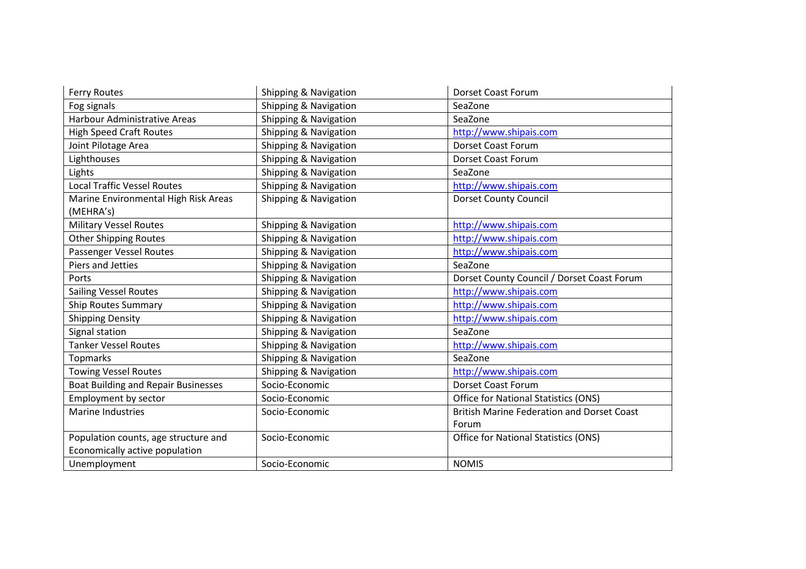| <b>Ferry Routes</b>                        | Shipping & Navigation | <b>Dorset Coast Forum</b>                         |
|--------------------------------------------|-----------------------|---------------------------------------------------|
| Fog signals                                | Shipping & Navigation | SeaZone                                           |
| <b>Harbour Administrative Areas</b>        | Shipping & Navigation | SeaZone                                           |
| <b>High Speed Craft Routes</b>             | Shipping & Navigation | http://www.shipais.com                            |
| Joint Pilotage Area                        | Shipping & Navigation | Dorset Coast Forum                                |
| <b>Lighthouses</b>                         | Shipping & Navigation | <b>Dorset Coast Forum</b>                         |
| Lights                                     | Shipping & Navigation | SeaZone                                           |
| <b>Local Traffic Vessel Routes</b>         | Shipping & Navigation | http://www.shipais.com                            |
| Marine Environmental High Risk Areas       | Shipping & Navigation | <b>Dorset County Council</b>                      |
| (MEHRA's)                                  |                       |                                                   |
| <b>Military Vessel Routes</b>              | Shipping & Navigation | http://www.shipais.com                            |
| <b>Other Shipping Routes</b>               | Shipping & Navigation | http://www.shipais.com                            |
| Passenger Vessel Routes                    | Shipping & Navigation | http://www.shipais.com                            |
| Piers and Jetties                          | Shipping & Navigation | SeaZone                                           |
| Ports                                      | Shipping & Navigation | Dorset County Council / Dorset Coast Forum        |
| <b>Sailing Vessel Routes</b>               | Shipping & Navigation | http://www.shipais.com                            |
| <b>Ship Routes Summary</b>                 | Shipping & Navigation | http://www.shipais.com                            |
| <b>Shipping Density</b>                    | Shipping & Navigation | http://www.shipais.com                            |
| Signal station                             | Shipping & Navigation | SeaZone                                           |
| <b>Tanker Vessel Routes</b>                | Shipping & Navigation | http://www.shipais.com                            |
| <b>Topmarks</b>                            | Shipping & Navigation | SeaZone                                           |
| <b>Towing Vessel Routes</b>                | Shipping & Navigation | http://www.shipais.com                            |
| <b>Boat Building and Repair Businesses</b> | Socio-Economic        | Dorset Coast Forum                                |
| Employment by sector                       | Socio-Economic        | <b>Office for National Statistics (ONS)</b>       |
| <b>Marine Industries</b>                   | Socio-Economic        | <b>British Marine Federation and Dorset Coast</b> |
|                                            |                       | Forum                                             |
| Population counts, age structure and       | Socio-Economic        | Office for National Statistics (ONS)              |
| Economically active population             |                       |                                                   |
| Unemployment                               | Socio-Economic        | <b>NOMIS</b>                                      |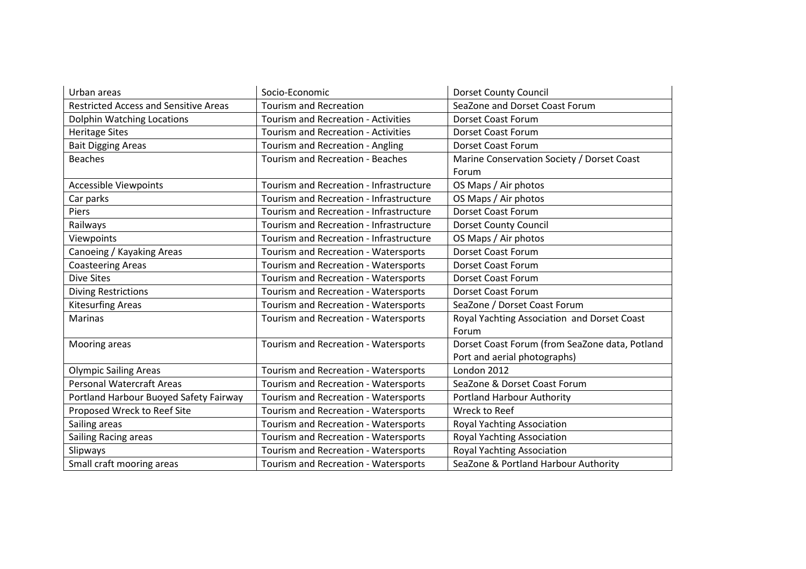| Urban areas                                  | Socio-Economic                             | <b>Dorset County Council</b>                   |
|----------------------------------------------|--------------------------------------------|------------------------------------------------|
| <b>Restricted Access and Sensitive Areas</b> | <b>Tourism and Recreation</b>              | SeaZone and Dorset Coast Forum                 |
| Dolphin Watching Locations                   | Tourism and Recreation - Activities        | <b>Dorset Coast Forum</b>                      |
| <b>Heritage Sites</b>                        | <b>Tourism and Recreation - Activities</b> | Dorset Coast Forum                             |
| <b>Bait Digging Areas</b>                    | Tourism and Recreation - Angling           | <b>Dorset Coast Forum</b>                      |
| <b>Beaches</b>                               | <b>Tourism and Recreation - Beaches</b>    | Marine Conservation Society / Dorset Coast     |
|                                              |                                            | Forum                                          |
| <b>Accessible Viewpoints</b>                 | Tourism and Recreation - Infrastructure    | OS Maps / Air photos                           |
| Car parks                                    | Tourism and Recreation - Infrastructure    | OS Maps / Air photos                           |
| Piers                                        | Tourism and Recreation - Infrastructure    | <b>Dorset Coast Forum</b>                      |
| Railways                                     | Tourism and Recreation - Infrastructure    | <b>Dorset County Council</b>                   |
| Viewpoints                                   | Tourism and Recreation - Infrastructure    | OS Maps / Air photos                           |
| Canoeing / Kayaking Areas                    | Tourism and Recreation - Watersports       | <b>Dorset Coast Forum</b>                      |
| <b>Coasteering Areas</b>                     | Tourism and Recreation - Watersports       | Dorset Coast Forum                             |
| <b>Dive Sites</b>                            | Tourism and Recreation - Watersports       | <b>Dorset Coast Forum</b>                      |
| <b>Diving Restrictions</b>                   | Tourism and Recreation - Watersports       | <b>Dorset Coast Forum</b>                      |
| <b>Kitesurfing Areas</b>                     | Tourism and Recreation - Watersports       | SeaZone / Dorset Coast Forum                   |
| <b>Marinas</b>                               | Tourism and Recreation - Watersports       | Royal Yachting Association and Dorset Coast    |
|                                              |                                            | Forum                                          |
| Mooring areas                                | Tourism and Recreation - Watersports       | Dorset Coast Forum (from SeaZone data, Potland |
|                                              |                                            | Port and aerial photographs)                   |
| <b>Olympic Sailing Areas</b>                 | Tourism and Recreation - Watersports       | London 2012                                    |
| <b>Personal Watercraft Areas</b>             | Tourism and Recreation - Watersports       | SeaZone & Dorset Coast Forum                   |
| Portland Harbour Buoyed Safety Fairway       | Tourism and Recreation - Watersports       | <b>Portland Harbour Authority</b>              |
| Proposed Wreck to Reef Site                  | Tourism and Recreation - Watersports       | Wreck to Reef                                  |
| Sailing areas                                | Tourism and Recreation - Watersports       | Royal Yachting Association                     |
| Sailing Racing areas                         | Tourism and Recreation - Watersports       | Royal Yachting Association                     |
| Slipways                                     | Tourism and Recreation - Watersports       | Royal Yachting Association                     |
| Small craft mooring areas                    | Tourism and Recreation - Watersports       | SeaZone & Portland Harbour Authority           |